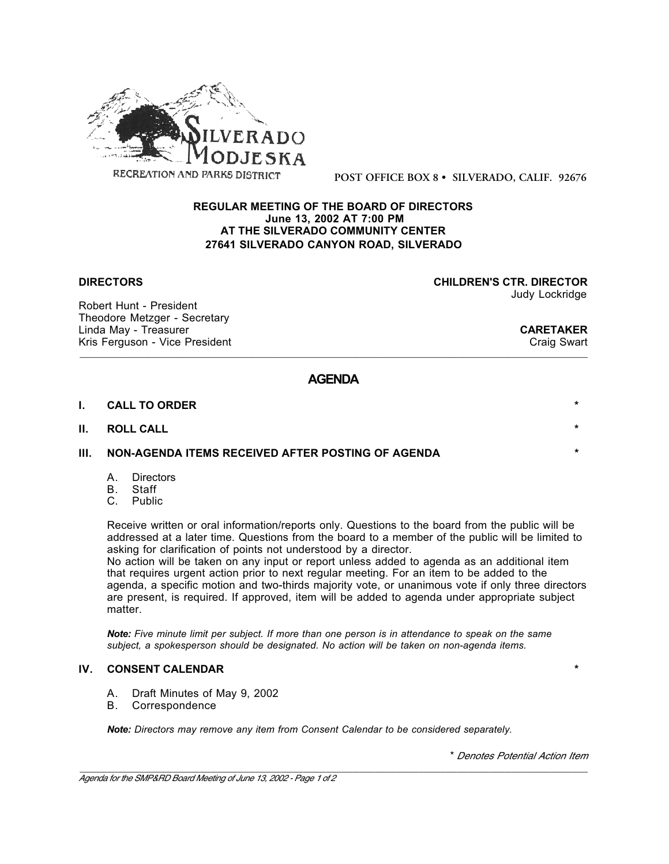

**POST OFFICE BOX 8 • SILVERADO, CALIF. 92676**

### **REGULAR MEETING OF THE BOARD OF DIRECTORS June 13, 2002 AT 7:00 PM AT THE SILVERADO COMMUNITY CENTER 27641 SILVERADO CANYON ROAD, SILVERADO**

Robert Hunt - President Theodore Metzger - Secretary Linda May - Treasurer **CARETAKER** Kris Ferguson - Vice President

**DIRECTORS CHILDREN'S CTR. DIRECTOR** Judy Lockridge

\_\_\_\_\_\_\_\_\_\_\_\_\_\_\_\_\_\_\_\_\_\_\_\_\_\_\_\_\_\_\_\_\_\_\_\_\_\_\_\_\_\_\_\_\_\_\_\_\_\_\_\_\_\_\_\_\_\_\_\_\_\_\_\_\_\_\_\_\_\_\_\_\_\_\_\_\_\_\_\_\_\_\_\_\_\_\_\_\_\_\_\_\_

## **AGENDA**

| I. | <b>CALL TO ORDER</b>                                       | $\star$ |
|----|------------------------------------------------------------|---------|
|    | II. ROLL CALL                                              | $\star$ |
|    | III.     NON-AGENDA ITEMS RECEIVED AFTER POSTING OF AGENDA | $\star$ |

- A. Directors
- B. Staff
- C. Public

Receive written or oral information/reports only. Questions to the board from the public will be addressed at a later time. Questions from the board to a member of the public will be limited to asking for clarification of points not understood by a director.

No action will be taken on any input or report unless added to agenda as an additional item that requires urgent action prior to next regular meeting. For an item to be added to the agenda, a specific motion and two-thirds majority vote, or unanimous vote if only three directors are present, is required. If approved, item will be added to agenda under appropriate subject matter.

*Note: Five minute limit per subject. If more than one person is in attendance to speak on the same subject, a spokesperson should be designated. No action will be taken on non-agenda items.*

#### **IV. CONSENT CALENDAR \***

- A. Draft Minutes of May 9, 2002
- B. Correspondence

*Note: Directors may remove any item from Consent Calendar to be considered separately.*

\* *Denotes Potential Action Item*

\_\_\_\_\_\_\_\_\_\_\_\_\_\_\_\_\_\_\_\_\_\_\_\_\_\_\_\_\_\_\_\_\_\_\_\_\_\_\_\_\_\_\_\_\_\_\_\_\_\_\_\_\_\_\_\_\_\_\_\_\_\_\_\_\_\_\_\_\_\_\_\_\_\_\_\_\_\_\_\_\_\_\_\_\_\_\_\_\_\_\_\_\_ *Agenda for the SMP&RD Board Meeting of June 13, 2002 - Page 1 of 2*